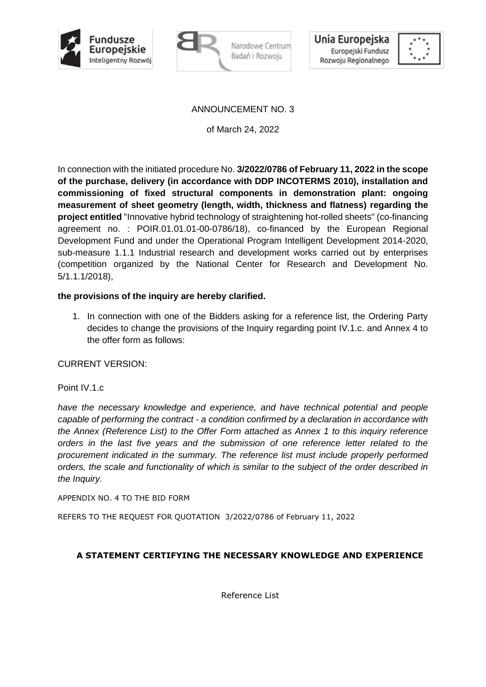





# ANNOUNCEMENT NO. 3

of March 24, 2022

In connection with the initiated procedure No. **3/2022/0786 of February 11, 2022 in the scope of the purchase, delivery (in accordance with DDP INCOTERMS 2010), installation and commissioning of fixed structural components in demonstration plant: ongoing measurement of sheet geometry (length, width, thickness and flatness) regarding the project entitled** "Innovative hybrid technology of straightening hot-rolled sheets" (co-financing agreement no. : POIR.01.01.01-00-0786/18), co-financed by the European Regional Development Fund and under the Operational Program Intelligent Development 2014-2020, sub-measure 1.1.1 Industrial research and development works carried out by enterprises (competition organized by the National Center for Research and Development No. 5/1.1.1/2018),

## **the provisions of the inquiry are hereby clarified.**

1. In connection with one of the Bidders asking for a reference list, the Ordering Party decides to change the provisions of the Inquiry regarding point IV.1.c. and Annex 4 to the offer form as follows:

### CURRENT VERSION:

### Point IV.1.c

*have the necessary knowledge and experience, and have technical potential and people capable of performing the contract - a condition confirmed by a declaration in accordance with the Annex (Reference List) to the Offer Form attached as Annex 1 to this inquiry reference orders in the last five years and the submission of one reference letter related to the procurement indicated in the summary. The reference list must include properly performed orders, the scale and functionality of which is similar to the subject of the order described in the Inquiry.*

APPENDIX NO. 4 TO THE BID FORM

REFERS TO THE REQUEST FOR QUOTATION 3/2022/0786 of February 11, 2022

# **A STATEMENT CERTIFYING THE NECESSARY KNOWLEDGE AND EXPERIENCE**

Reference List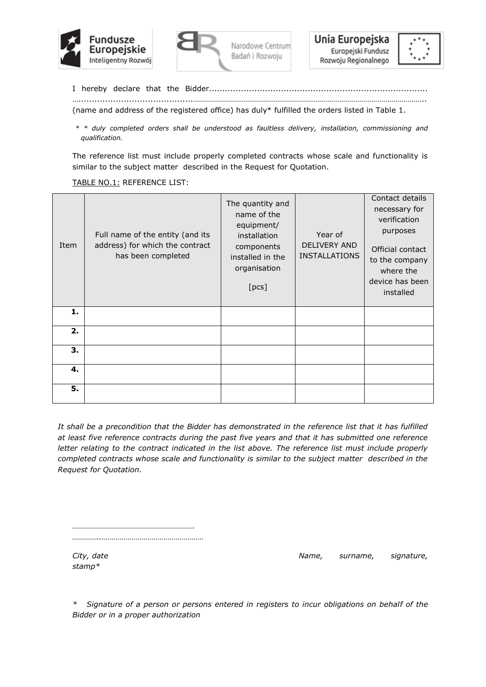





I hereby declare that the Bidder.................................................................................. …...........................................……………………………………………………………………………………………………..

(name and address of the registered office) has duly\* fulfilled the orders listed in Table 1.

*\* \* duly completed orders shall be understood as faultless delivery, installation, commissioning and qualification.*

The reference list must include properly completed contracts whose scale and functionality is similar to the subject matter described in the Request for Quotation.

#### TABLE NO.1: REFERENCE LIST:

| Item | Full name of the entity (and its<br>address) for which the contract<br>has been completed | The quantity and<br>name of the<br>equipment/<br>installation<br>components<br>installed in the<br>organisation<br>[pcs] | Year of<br><b>DELIVERY AND</b><br><b>INSTALLATIONS</b> | Contact details<br>necessary for<br>verification<br>purposes<br>Official contact<br>to the company<br>where the<br>device has been<br>installed |
|------|-------------------------------------------------------------------------------------------|--------------------------------------------------------------------------------------------------------------------------|--------------------------------------------------------|-------------------------------------------------------------------------------------------------------------------------------------------------|
| 1.   |                                                                                           |                                                                                                                          |                                                        |                                                                                                                                                 |
| 2.   |                                                                                           |                                                                                                                          |                                                        |                                                                                                                                                 |
| 3.   |                                                                                           |                                                                                                                          |                                                        |                                                                                                                                                 |
| 4.   |                                                                                           |                                                                                                                          |                                                        |                                                                                                                                                 |
| 5.   |                                                                                           |                                                                                                                          |                                                        |                                                                                                                                                 |

*It shall be a precondition that the Bidder has demonstrated in the reference list that it has fulfilled at least five reference contracts during the past five years and that it has submitted one reference letter relating to the contract indicated in the list above. The reference list must include properly completed contracts whose scale and functionality is similar to the subject matter described in the Request for Quotation.*

*……………………………………………………. …………..……………………………………………*

*stamp\**

*City, date* **Name,** *surname, signature, City, date Name, signature, signature,* 

*\* Signature of a person or persons entered in registers to incur obligations on behalf of the Bidder or in a proper authorization*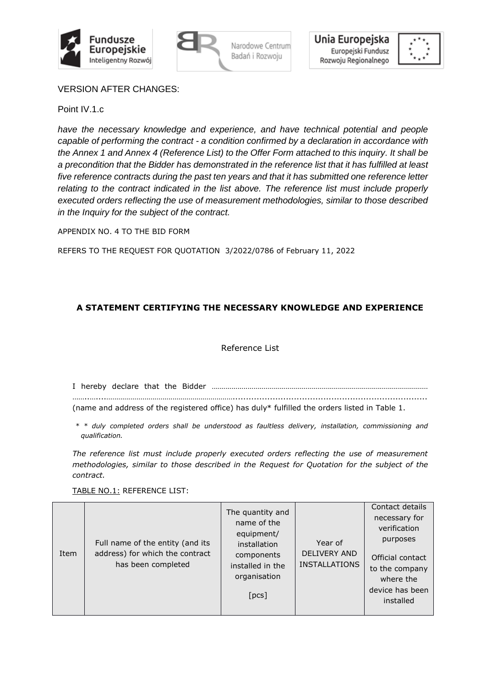





VERSION AFTER CHANGES:

Point IV.1.c

*have the necessary knowledge and experience, and have technical potential and people capable of performing the contract - a condition confirmed by a declaration in accordance with the Annex 1 and Annex 4 (Reference List) to the Offer Form attached to this inquiry. It shall be a precondition that the Bidder has demonstrated in the reference list that it has fulfilled at least five reference contracts during the past ten years and that it has submitted one reference letter relating to the contract indicated in the list above. The reference list must include properly executed orders reflecting the use of measurement methodologies, similar to those described in the Inquiry for the subject of the contract.*

APPENDIX NO. 4 TO THE BID FORM

REFERS TO THE REQUEST FOR QUOTATION 3/2022/0786 of February 11, 2022

# **A STATEMENT CERTIFYING THE NECESSARY KNOWLEDGE AND EXPERIENCE**

### Reference List

I hereby declare that the Bidder ……………………………………………………………………………………………… ……..…....………………………………………………………......................................................................... (name and address of the registered office) has duly\* fulfilled the orders listed in Table 1.

*\* \* duly completed orders shall be understood as faultless delivery, installation, commissioning and qualification.*

*The reference list must include properly executed orders reflecting the use of measurement methodologies, similar to those described in the Request for Quotation for the subject of the contract.*

TABLE NO.1: REFERENCE LIST:

| Item | Full name of the entity (and its<br>address) for which the contract<br>has been completed | The quantity and<br>name of the<br>equipment/<br>installation<br>components<br>installed in the<br>organisation<br>[pcs] | Year of<br><b>DELIVERY AND</b><br><b>INSTALLATIONS</b> | Contact details<br>necessary for<br>verification<br>purposes<br>Official contact<br>to the company<br>where the<br>device has been<br>installed |
|------|-------------------------------------------------------------------------------------------|--------------------------------------------------------------------------------------------------------------------------|--------------------------------------------------------|-------------------------------------------------------------------------------------------------------------------------------------------------|
|------|-------------------------------------------------------------------------------------------|--------------------------------------------------------------------------------------------------------------------------|--------------------------------------------------------|-------------------------------------------------------------------------------------------------------------------------------------------------|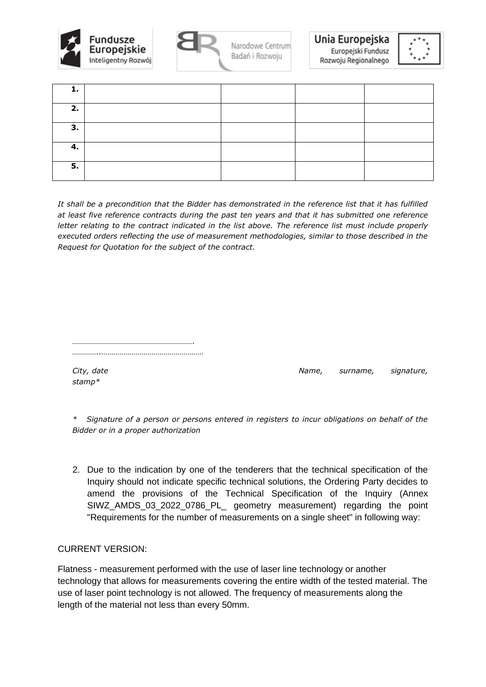



Unia Europejska Europejski Fundusz Rozwoju Regionalnego



| 2. |  |  |
|----|--|--|
| 3. |  |  |
| 4. |  |  |
| 5. |  |  |

*It shall be a precondition that the Bidder has demonstrated in the reference list that it has fulfilled at least five reference contracts during the past ten years and that it has submitted one reference letter relating to the contract indicated in the list above. The reference list must include properly executed orders reflecting the use of measurement methodologies, similar to those described in the Request for Quotation for the subject of the contract.*

*……………………………………………………. …………..……………………………………………*

*stamp\**

*City, date Name, surname, signature,* 

*\* Signature of a person or persons entered in registers to incur obligations on behalf of the Bidder or in a proper authorization*

2. Due to the indication by one of the tenderers that the technical specification of the Inquiry should not indicate specific technical solutions, the Ordering Party decides to amend the provisions of the Technical Specification of the Inquiry (Annex SIWZ\_AMDS\_03\_2022\_0786\_PL\_ geometry measurement) regarding the point "Requirements for the number of measurements on a single sheet" in following way:

CURRENT VERSION:

Flatness - measurement performed with the use of laser line technology or another technology that allows for measurements covering the entire width of the tested material. The use of laser point technology is not allowed. The frequency of measurements along the length of the material not less than every 50mm.